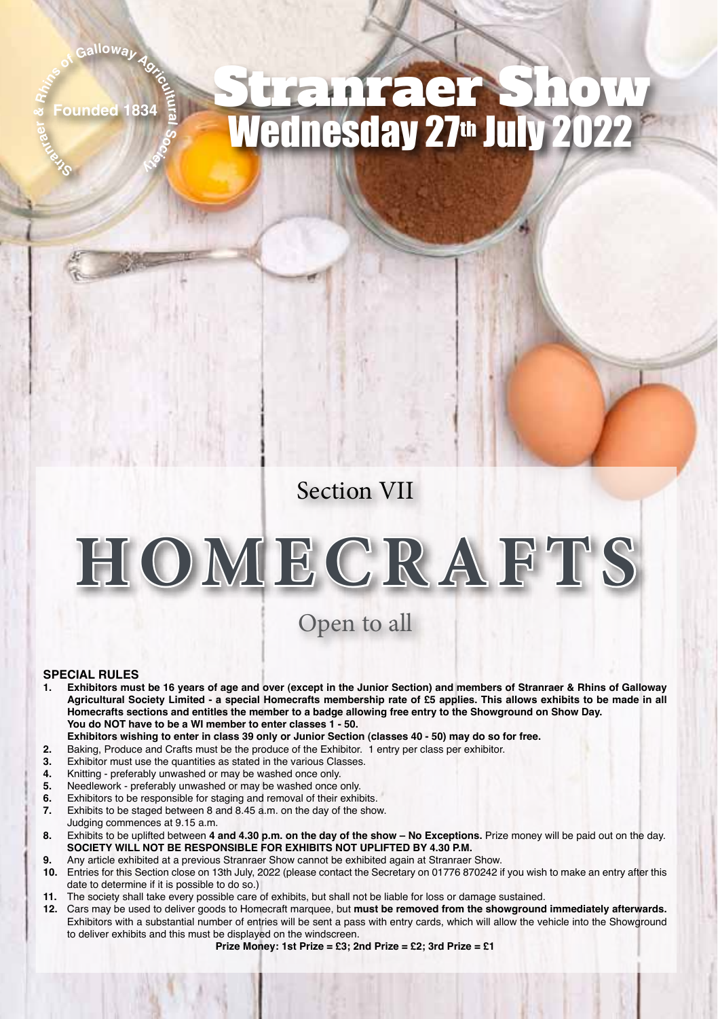## **nraer & c**<sub>f</sub> Galloway **A**<sub>g</sub></sub><br>**ounded** 1834

**ral E**  $\frac{2}{3}$ 

**St ar**

## Founded 1834 Stranraer Show Wednesday 27th July 2022

#### Section VII

# **HOMECRAFTS**

### Open to all

#### **SPECIAL RULES**

- **1. Exhibitors must be 16 years of age and over (except in the Junior Section) and members of Stranraer & Rhins of Galloway Agricultural Society Limited - a special Homecrafts membership rate of £5 applies. This allows exhibits to be made in all Homecrafts sections and entitles the member to a badge allowing free entry to the Showground on Show Day. You do NOT have to be a WI member to enter classes 1 - 50.**
- **Exhibitors wishing to enter in class 39 only or Junior Section (classes 40 50) may do so for free.**
- **2.** Baking, Produce and Crafts must be the produce of the Exhibitor. 1 entry per class per exhibitor.<br>**3.** Exhibitor must use the quantities as stated in the various Classes
- **3.** Exhibitor must use the quantities as stated in the various Classes.
- **4.** Knitting preferably unwashed or may be washed once only.
- **5.** Needlework preferably unwashed or may be washed once only.<br>**6.** Exhibitors to be responsible for staging and removal of their exhi
- **6.** Exhibitors to be responsible for staging and removal of their exhibits.
- **7.** Exhibits to be staged between 8 and 8.45 a.m. on the day of the show. Judging commences at 9.15 a.m.
- **8.** Exhibits to be uplifted between **4 and 4.30 p.m. on the day of the show No Exceptions.** Prize money will be paid out on the day. **SOCIETY WILL NOT BE RESPONSIBLE FOR EXHIBITS NOT UPLIFTED BY 4.30 P.M.**
- **9.** Any article exhibited at a previous Stranraer Show cannot be exhibited again at Stranraer Show.
- **10.** Entries for this Section close on 13th July, 2022 (please contact the Secretary on 01776 870242 if you wish to make an entry after this date to determine if it is possible to do so.)
- **11.** The society shall take every possible care of exhibits, but shall not be liable for loss or damage sustained.
- **12.** Cars may be used to deliver goods to Homecraft marquee, but **must be removed from the showground immediately afterwards.** Exhibitors with a substantial number of entries will be sent a pass with entry cards, which will allow the vehicle into the Showground to deliver exhibits and this must be displayed on the windscreen.

**Prize Money: 1st Prize = £3; 2nd Prize = £2; 3rd Prize = £1**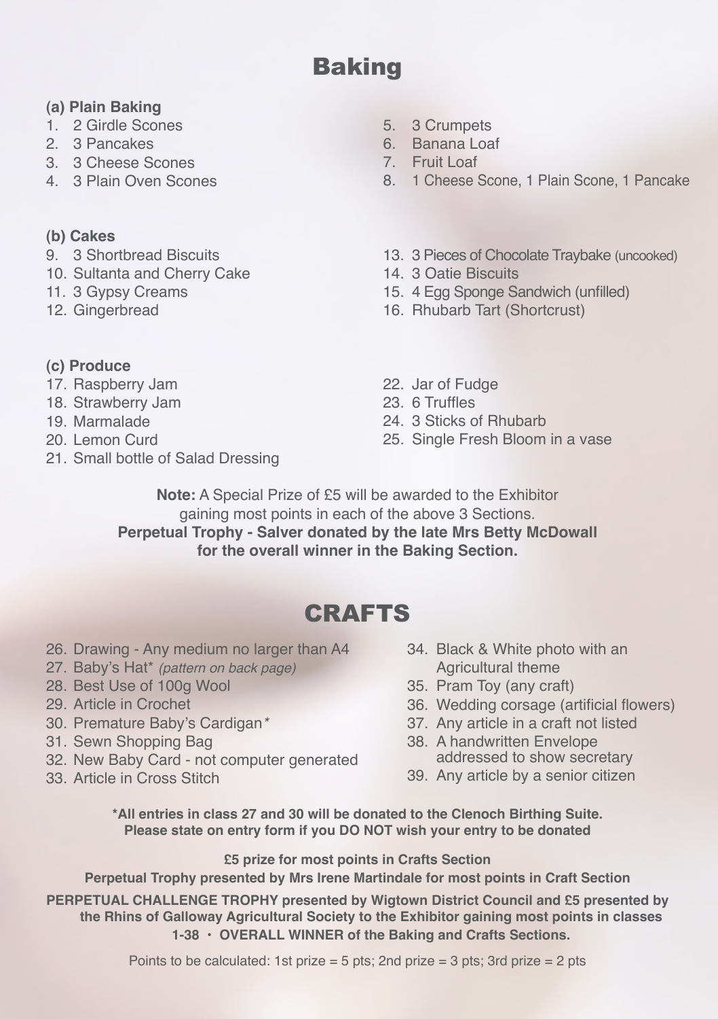## **Baking**

#### **(a) Plain Baking**

- 1. 2 Girdle Scones
- 2. 3 Pancakes
- 3. 3 Cheese Scones
- 4. 3 Plain Oven Scones

#### **(b) Cakes**

- 9. 3 Shortbread Biscuits
- 10. Sultanta and Cherry Cake
- 11. 3 Gypsy Creams
- 12. Gingerbread
- **(c) Produce**
- 17. Raspberry Jam
- 18. Strawberry Jam
- 19. Marmalade
- 20. Lemon Curd
- 21. Small bottle of Salad Dressing
- 5. 3 Crumpets
- 6. Banana Loaf
- 7. Fruit Loaf
- 8. 1 Cheese Scone, 1 Plain Scone, 1 Pancake
- 13. 3 Pieces of Chocolate Traybake (uncooked)
- 14. 3 Oatie Biscuits
- 15. 4 Egg Sponge Sandwich (unfilled)
- 16. Rhubarb Tart (Shortcrust)
- 22. Jar of Fudge
- 23. 6 Truffles
- 24. 3 Sticks of Rhubarb
- 25. Single Fresh Bloom in a vase

**Note:** A Special Prize of £5 will be awarded to the Exhibitor gaining most points in each of the above 3 Sections. **Perpetual Trophy - Salver donated by the late Mrs Betty McDowall for the overall winner in the Baking Section.**

## **CRAFTS**

- 26. Drawing Any medium no larger than A4
- 27. Baby's Hat\* *(pattern on back page)*
- 28. Best Use of 100g Wool
- 29. Article in Crochet
- 30. Premature Baby's Cardigan*\**
- 31. Sewn Shopping Bag
- 32. New Baby Card not computer generated
- 33. Article in Cross Stitch
- 34. Black & White photo with an Agricultural theme
- 35. Pram Toy (any craft)
- 36. Wedding corsage (artificial flowers)
- 37. Any article in a craft not listed
- 38. A handwritten Envelope addressed to show secretary
- 39. Any article by a senior citizen

**\*All entries in class 27 and 30 will be donated to the Clenoch Birthing Suite. Please state on entry form if you DO NOT wish your entry to be donated**

**£5 prize for most points in Crafts Section**

**Perpetual Trophy presented by Mrs Irene Martindale for most points in Craft Section**

**PERPETUAL CHALLENGE TROPHY presented by Wigtown District Council and £5 presented by the Rhins of Galloway Agricultural Society to the Exhibitor gaining most points in classes 1-38 • OVERALL WINNER of the Baking and Crafts Sections.**

Points to be calculated: 1st prize  $=$  5 pts: 2nd prize  $=$  3 pts: 3rd prize  $=$  2 pts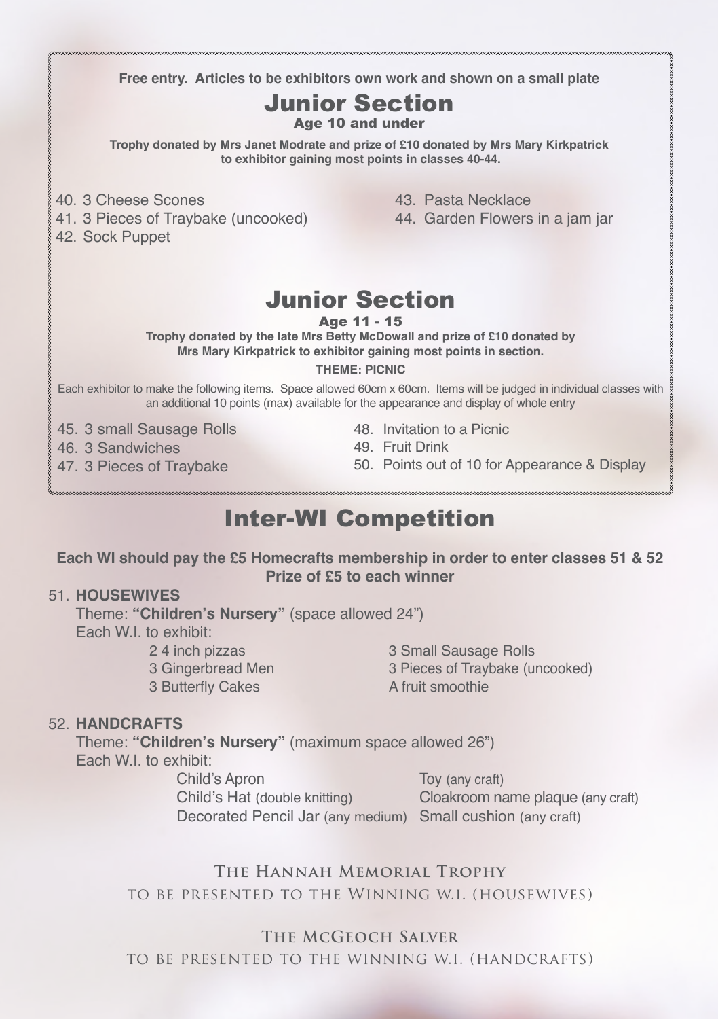**Free entry. Articles to be exhibitors own work and shown on a small plate** 

## Junior Section

Age 10 and under

**Trophy donated by Mrs Janet Modrate and prize of £10 donated by Mrs Mary Kirkpatrick to exhibitor gaining most points in classes 40-44.**

- 40. 3 Cheese Scones
- 41. 3 Pieces of Traybake (uncooked)
- 42. Sock Puppet

43. Pasta Necklace

44. Garden Flowers in a jam jar

## Junior Section

Age 11 - 15

**Trophy donated by the late Mrs Betty McDowall and prize of £10 donated by Mrs Mary Kirkpatrick to exhibitor gaining most points in section.**

#### **THEME: PICNIC**

Each exhibitor to make the following items. Space allowed 60cm x 60cm. Items will be judged in individual classes with an additional 10 points (max) available for the appearance and display of whole entry

45. 3 small Sausage Rolls

46. 3 Sandwiches

47. 3 Pieces of Traybake

- 48. Invitation to a Picnic
- 49. Fruit Drink
- 50. Points out of 10 for Appearance & Display

## Inter-WI Competition

#### **Each WI should pay the £5 Homecrafts membership in order to enter classes 51 & 52 Prize of £5 to each winner**

#### 51. **HOUSEWIVES**

Theme: **"Children's Nursery"** (space allowed 24") Each W.I. to exhibit: 24 inch pizzas 3 Small Sausage Rolls

3 Butterfly Cakes

3 Gingerbread Men 3 Pieces of Traybake (uncooked)<br>3 Butterfly Cakes 3 A fruit smoothie

#### 52. **HANDCRAFTS**

Theme: **"Children's Nursery"** (maximum space allowed 26") Each W.I. to exhibit:

Child's Apron Toy (any craft) Child's Hat (double knitting) Cloakroom name plaque (any craft) Decorated Pencil Jar (any medium) Small cushion (any craft)

#### **The Hannah Memorial Trophy** to be presented to the Winning w.i. (housewives)

#### **The McGeoch Salver**

to be presented to the winning w.i. (handcrafts)